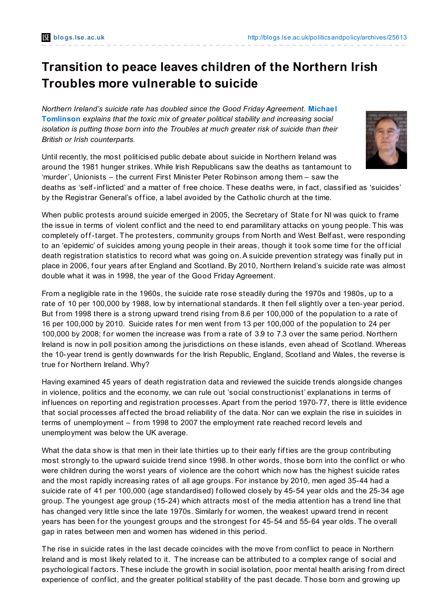## **Transition to peace leaves children of the Northern Irish Troubles more vulnerable to suicide**

*Northern Ireland's suicide rate has doubled since the Good Friday [Agreement.](http://blogs.lse.ac.uk/politicsandpolicy/?p=25613#author)* **Michael Tomlinson** *explains that the toxic mix of greater political stability and increasing social isolation is putting those born into the Troubles at much greater risk of suicide than their British or Irish counterparts.*

by the Registrar General's office, a label avoided by the Catholic church at the time.

double what it was in 1998, the year of the Good Friday Agreement.

Until recently, the most politicised public debate about suicide in Northern Ireland was around the 1981 hunger strikes. While Irish Republicans saw the deaths as tantamount to 'murder', Unionists – the current First Minister Peter Robinson among them – saw the deaths as 'self-inf licted' and a matter of free choice. These deaths were, in f act, classif ied as 'suicides'

When public protests around suicide emerged in 2005, the Secretary of State for NI was quick to frame the issue in terms of violent conf lict and the need to end paramilitary attacks on young people. This was completely of f-target. The protesters, community groups from North and West Belf ast, were responding to an 'epidemic' of suicides among young people in their areas, though it took some time for the official death registration statistics to record what was going on. A suicide prevention strategy was finally put in place in 2006, f our years af ter England and Scotland. By 2010, Northern Ireland's suicide rate was almost

From a negligible rate in the 1960s, the suicide rate rose steadily during the 1970s and 1980s, up to a rate of 10 per 100,000 by 1988, low by international standards. It then fell slightly over a ten-year period. But from 1998 there is a strong upward trend rising from 8.6 per 100,000 of the population to a rate of 16 per 100,000 by 2010. Suicide rates f or men went from 13 per 100,000 of the population to 24 per 100,000 by 2008; for women the increase was from a rate of 3.9 to 7.3 over the same period. Northern Ireland is now in poll position among the jurisdictions on these islands, even ahead of Scotland. Whereas the 10-year trend is gently downwards for the Irish Republic, England, Scotland and Wales, the reverse is true for Northern Ireland. Why?

Having examined 45 years of death registration data and reviewed the suicide trends alongside changes in violence, politics and the economy, we can rule out 'social constructionist' explanations in terms of inf luences on reporting and registration processes.Apart from the period 1970-77, there is little evidence that social processes affected the broad reliability of the data. Nor can we explain the rise in suicides in terms of unemployment – from 1998 to 2007 the employment rate reached record levels and unemployment was below the UK average.

What the data show is that men in their late thirties up to their early f if ties are the group contributing most strongly to the upward suicide trend since 1998. In other words, those born into the conf lict or who were children during the worst years of violence are the cohort which now has the highest suicide rates and the most rapidly increasing rates of all age groups. For instance by 2010, men aged 35-44 had a suicide rate of 41 per 100,000 (age standardised) followed closely by 45-54 year olds and the 25-34 age group. The youngest age group (15-24) which attracts most of the media attention has a trend line that has changed very little since the late 1970s. Similarly for women, the weakest upward trend in recent years has been for the youngest groups and the strongest for 45-54 and 55-64 year olds. The overall gap in rates between men and women has widened in this period.

The rise in suicide rates in the last decade coincides with the move from conf lict to peace in Northern Ireland and is most likely related to it. The increase can be attributed to a complex range of social and psychological factors. These include the growth in social isolation, poor mental health arising from direct experience of conf lict, and the greater political stability of the past decade. Those born and growing up